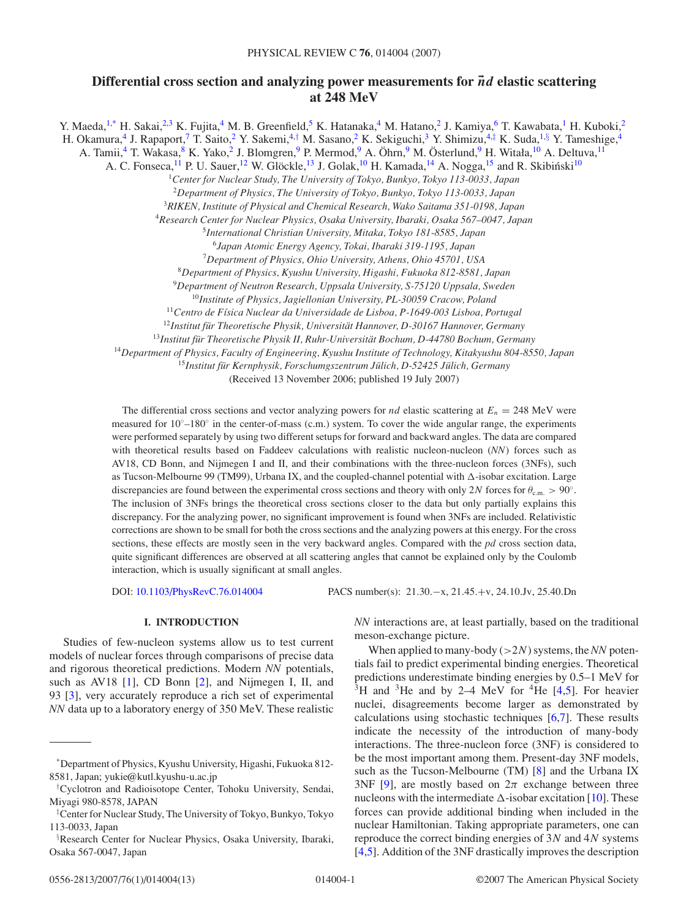# **Differential cross section and analyzing power measurements for** *nd* **elastic scattering at 248 MeV**

Y. Maeda,<sup>1,\*</sup> H. Sakai,<sup>2,3</sup> K. Fujita,<sup>4</sup> M. B. Greenfield,<sup>5</sup> K. Hatanaka,<sup>4</sup> M. Hatano,<sup>2</sup> J. Kamiya,<sup>6</sup> T. Kawabata,<sup>1</sup> H. Kuboki,<sup>2</sup> H. Okamura,<sup>4</sup> J. Rapaport,<sup>7</sup> T. Saito,<sup>2</sup> Y. Sakemi,<sup>4,†</sup> M. Sasano,<sup>2</sup> K. Sekiguchi,<sup>3</sup> Y. Shimizu,<sup>4,‡</sup> K. Suda,<sup>1,§</sup> Y. Tameshige,<sup>4</sup> A. Tamii,<sup>4</sup> T. Wakasa,<sup>8</sup> K. Yako,<sup>2</sup> J. Blomgren,<sup>9</sup> P. Mermod,<sup>9</sup> A. Öhrn,<sup>9</sup> M. Österlund,<sup>9</sup> H. Witała,<sup>10</sup> A. Deltuva,<sup>11</sup> A. C. Fonseca,<sup>11</sup> P. U. Sauer,<sup>12</sup> W. Glöckle,<sup>13</sup> J. Golak,<sup>10</sup> H. Kamada,<sup>14</sup> A. Nogga,<sup>15</sup> and R. Skibiński<sup>10</sup> *Center for Nuclear Study, The University of Tokyo, Bunkyo, Tokyo 113-0033, Japan Department of Physics, The University of Tokyo, Bunkyo, Tokyo 113-0033, Japan RIKEN, Institute of Physical and Chemical Research, Wako Saitama 351-0198, Japan Research Center for Nuclear Physics, Osaka University, Ibaraki, Osaka 567–0047, Japan International Christian University, Mitaka, Tokyo 181-8585, Japan Japan Atomic Energy Agency, Tokai, Ibaraki 319-1195, Japan Department of Physics, Ohio University, Athens, Ohio 45701, USA Department of Physics, Kyushu University, Higashi, Fukuoka 812-8581, Japan Department of Neutron Research, Uppsala University, S-75120 Uppsala, Sweden Institute of Physics, Jagiellonian University, PL-30059 Cracow, Poland Centro de F´ısica Nuclear da Universidade de Lisboa, P-1649-003 Lisboa, Portugal* <sup>12</sup>Institut für Theoretische Physik, Universität Hannover, D-30167 Hannover, Germany <sup>13</sup>Institut für Theoretische Physik II, Ruhr-Universität Bochum, D-44780 Bochum, Germany *Department of Physics, Faculty of Engineering, Kyushu Institute of Technology, Kitakyushu 804-8550, Japan*

<sup>15</sup>Institut für Kernphysik, Forschumgszentrum Jülich, D-52425 Jülich, Germany

(Received 13 November 2006; published 19 July 2007)

The differential cross sections and vector analyzing powers for *nd* elastic scattering at  $E_n = 248$  MeV were measured for 10◦–180◦ in the center-of-mass (c.m.) system. To cover the wide angular range, the experiments were performed separately by using two different setups for forward and backward angles. The data are compared with theoretical results based on Faddeev calculations with realistic nucleon-nucleon (*NN*) forces such as AV18, CD Bonn, and Nijmegen I and II, and their combinations with the three-nucleon forces (3NFs), such as Tucson-Melbourne 99 (TM99), Urbana IX, and the coupled-channel potential with  $\Delta$ -isobar excitation. Large discrepancies are found between the experimental cross sections and theory with only 2*N* forces for *θ*c*.*m*. >* 90◦. The inclusion of 3NFs brings the theoretical cross sections closer to the data but only partially explains this discrepancy. For the analyzing power, no significant improvement is found when 3NFs are included. Relativistic corrections are shown to be small for both the cross sections and the analyzing powers at this energy. For the cross sections, these effects are mostly seen in the very backward angles. Compared with the *pd* cross section data, quite significant differences are observed at all scattering angles that cannot be explained only by the Coulomb interaction, which is usually significant at small angles.

DOI: [10.1103/PhysRevC.76.014004](http://dx.doi.org/10.1103/PhysRevC.76.014004) PACS number(s): 21*.*30*.*−x, 21*.*45*.*+v, 24*.*10*.*Jv, 25*.*40*.*Dn

# **I. INTRODUCTION**

Studies of few-nucleon systems allow us to test current models of nuclear forces through comparisons of precise data and rigorous theoretical predictions. Modern *NN* potentials, such as AV18 [\[1\]](#page-11-0), CD Bonn [\[2\]](#page-11-0), and Nijmegen I, II, and 93 [\[3\]](#page-11-0), very accurately reproduce a rich set of experimental *NN* data up to a laboratory energy of 350 MeV. These realistic *NN* interactions are, at least partially, based on the traditional meson-exchange picture.

When applied to many-body (*>*2*N*) systems, the *NN* potentials fail to predict experimental binding energies. Theoretical predictions underestimate binding energies by 0.5–1 MeV for  $3H$  and  $3He$  and by 2–4 MeV for  $4He$  [\[4,5\]](#page-11-0). For heavier nuclei, disagreements become larger as demonstrated by calculations using stochastic techniques [\[6,7\]](#page-11-0). These results indicate the necessity of the introduction of many-body interactions. The three-nucleon force (3NF) is considered to be the most important among them. Present-day 3NF models, such as the Tucson-Melbourne (TM) [\[8\]](#page-11-0) and the Urbana IX 3NF [\[9\]](#page-11-0), are mostly based on  $2\pi$  exchange between three nucleons with the intermediate  $\Delta$ -isobar excitation [\[10\]](#page-11-0). These forces can provide additional binding when included in the nuclear Hamiltonian. Taking appropriate parameters, one can reproduce the correct binding energies of 3*N* and 4*N* systems [\[4,5\]](#page-11-0). Addition of the 3NF drastically improves the description

<sup>\*</sup>Department of Physics, Kyushu University, Higashi, Fukuoka 812- 8581, Japan; yukie@kutl.kyushu-u.ac.jp

<sup>†</sup> Cyclotron and Radioisotope Center, Tohoku University, Sendai, Miyagi 980-8578, JAPAN

<sup>‡</sup> Center for Nuclear Study, The University of Tokyo, Bunkyo, Tokyo 113-0033, Japan

<sup>§</sup> Research Center for Nuclear Physics, Osaka University, Ibaraki, Osaka 567-0047, Japan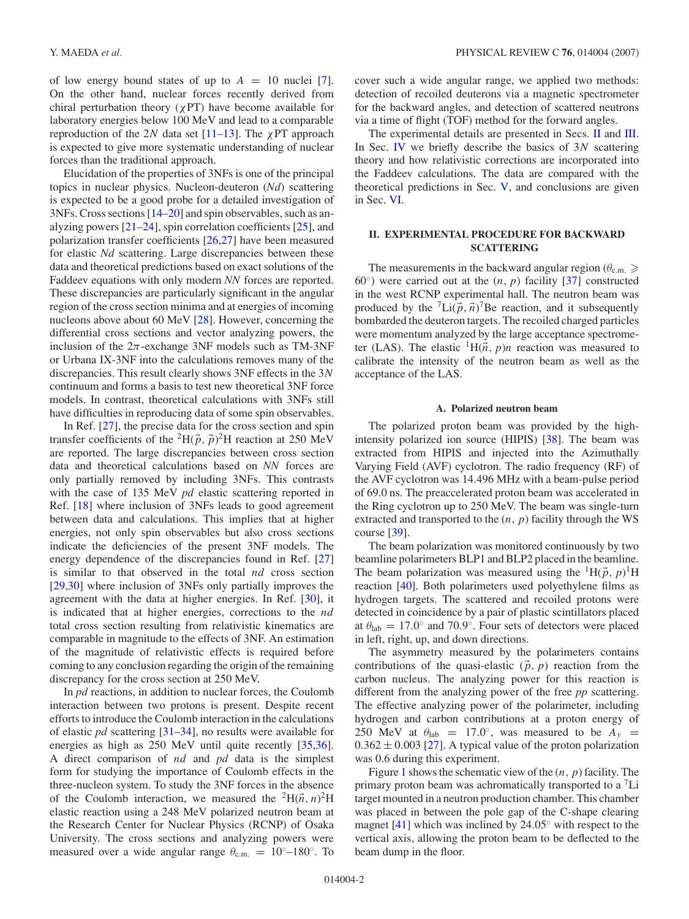<span id="page-1-0"></span>of low energy bound states of up to  $A = 10$  nuclei [\[7\]](#page-11-0). On the other hand, nuclear forces recently derived from chiral perturbation theory (*χ*PT) have become available for laboratory energies below 100 MeV and lead to a comparable reproduction of the 2*N* data set [\[11–13\]](#page-11-0). The *χ*PT approach is expected to give more systematic understanding of nuclear forces than the traditional approach.

Elucidation of the properties of 3NFs is one of the principal topics in nuclear physics. Nucleon-deuteron (*Nd*) scattering is expected to be a good probe for a detailed investigation of 3NFs. Cross sections [\[14–20\]](#page-11-0) and spin observables, such as analyzing powers [\[21–24\]](#page-11-0), spin correlation coefficients [\[25\]](#page-11-0), and polarization transfer coefficients [\[26,27\]](#page-11-0) have been measured for elastic *Nd* scattering. Large discrepancies between these data and theoretical predictions based on exact solutions of the Faddeev equations with only modern *NN* forces are reported. These discrepancies are particularly significant in the angular region of the cross section minima and at energies of incoming nucleons above about 60 MeV [\[28\]](#page-11-0). However, concerning the differential cross sections and vector analyzing powers, the inclusion of the  $2\pi$ -exchange 3NF models such as TM-3NF or Urbana IX-3NF into the calculations removes many of the discrepancies. This result clearly shows 3NF effects in the 3*N* continuum and forms a basis to test new theoretical 3NF force models. In contrast, theoretical calculations with 3NFs still have difficulties in reproducing data of some spin observables.

In Ref. [\[27\]](#page-11-0), the precise data for the cross section and spin transfer coefficients of the <sup>2</sup>H( $\vec{p}$ ,  $\vec{p}$ )<sup>2</sup>H reaction at 250 MeV are reported. The large discrepancies between cross section data and theoretical calculations based on *NN* forces are only partially removed by including 3NFs. This contrasts with the case of 135 MeV *pd* elastic scattering reported in Ref. [\[18\]](#page-11-0) where inclusion of 3NFs leads to good agreement between data and calculations. This implies that at higher energies, not only spin observables but also cross sections indicate the deficiencies of the present 3NF models. The energy dependence of the discrepancies found in Ref. [\[27\]](#page-11-0) is similar to that observed in the total *nd* cross section [\[29,30\]](#page-11-0) where inclusion of 3NFs only partially improves the agreement with the data at higher energies. In Ref. [\[30\]](#page-11-0), it is indicated that at higher energies, corrections to the *nd* total cross section resulting from relativistic kinematics are comparable in magnitude to the effects of 3NF. An estimation of the magnitude of relativistic effects is required before coming to any conclusion regarding the origin of the remaining discrepancy for the cross section at 250 MeV.

In *pd* reactions, in addition to nuclear forces, the Coulomb interaction between two protons is present. Despite recent efforts to introduce the Coulomb interaction in the calculations of elastic *pd* scattering [\[31–34\]](#page-11-0), no results were available for energies as high as 250 MeV until quite recently [\[35,36\]](#page-11-0). A direct comparison of *nd* and *pd* data is the simplest form for studying the importance of Coulomb effects in the three-nucleon system. To study the 3NF forces in the absence of the Coulomb interaction, we measured the <sup>2</sup>H( $\vec{n}$ ,  $n$ )<sup>2</sup>H elastic reaction using a 248 MeV polarized neutron beam at the Research Center for Nuclear Physics (RCNP) of Osaka University. The cross sections and analyzing powers were measured over a wide angular range  $\theta_{\text{c.m.}} = 10^{\circ} - 180^{\circ}$ . To

cover such a wide angular range, we applied two methods: detection of recoiled deuterons via a magnetic spectrometer for the backward angles, and detection of scattered neutrons via a time of flight (TOF) method for the forward angles.

The experimental details are presented in Secs. II and [III.](#page-3-0) In Sec. [IV](#page-4-0) we briefly describe the basics of 3*N* scattering theory and how relativistic corrections are incorporated into the Faddeev calculations. The data are compared with the theoretical predictions in Sec. [V,](#page-6-0) and conclusions are given in Sec. [VI.](#page-10-0)

# **II. EXPERIMENTAL PROCEDURE FOR BACKWARD SCATTERING**

The measurements in the backward angular region ( $\theta_{\text{c.m.}} \geq$ 60◦) were carried out at the (*n, p*) facility [\[37\]](#page-11-0) constructed in the west RCNP experimental hall. The neutron beam was produced by the  ${}^{7}$ Li( $\vec{p}$ ,  $\vec{n}$ )<sup>7</sup>Be reaction, and it subsequently bombarded the deuteron targets. The recoiled charged particles were momentum analyzed by the large acceptance spectrometer (LAS). The elastic  ${}^{1}H(\vec{n}, p)n$  reaction was measured to calibrate the intensity of the neutron beam as well as the acceptance of the LAS.

#### **A. Polarized neutron beam**

The polarized proton beam was provided by the highintensity polarized ion source (HIPIS) [\[38\]](#page-11-0). The beam was extracted from HIPIS and injected into the Azimuthally Varying Field (AVF) cyclotron. The radio frequency (RF) of the AVF cyclotron was 14.496 MHz with a beam-pulse period of 69.0 ns. The preaccelerated proton beam was accelerated in the Ring cyclotron up to 250 MeV. The beam was single-turn extracted and transported to the (*n, p*) facility through the WS course [\[39\]](#page-11-0).

The beam polarization was monitored continuously by two beamline polarimeters BLP1 and BLP2 placed in the beamline. The beam polarization was measured using the <sup>1</sup>H( $\vec{p}$ ,  $p$ )<sup>1</sup>H reaction [\[40\]](#page-11-0). Both polarimeters used polyethylene films as hydrogen targets. The scattered and recoiled protons were detected in coincidence by a pair of plastic scintillators placed at  $\theta_{\text{lab}} = 17.0^\circ$  and 70.9°. Four sets of detectors were placed in left, right, up, and down directions.

The asymmetry measured by the polarimeters contains contributions of the quasi-elastic  $(\vec{p}, p)$  reaction from the carbon nucleus. The analyzing power for this reaction is different from the analyzing power of the free *pp* scattering. The effective analyzing power of the polarimeter, including hydrogen and carbon contributions at a proton energy of 250 MeV at  $\theta_{\text{lab}} = 17.0^{\circ}$ , was measured to be  $A_y =$  $0.362 \pm 0.003$  [\[27\]](#page-11-0). A typical value of the proton polarization was 0.6 during this experiment.

Figure [1](#page-2-0) shows the schematic view of the (*n, p*) facility. The primary proton beam was achromatically transported to a 7Li target mounted in a neutron production chamber. This chamber was placed in between the pole gap of the C-shape clearing magnet [\[41\]](#page-11-0) which was inclined by 24*.*05◦ with respect to the vertical axis, allowing the proton beam to be deflected to the beam dump in the floor.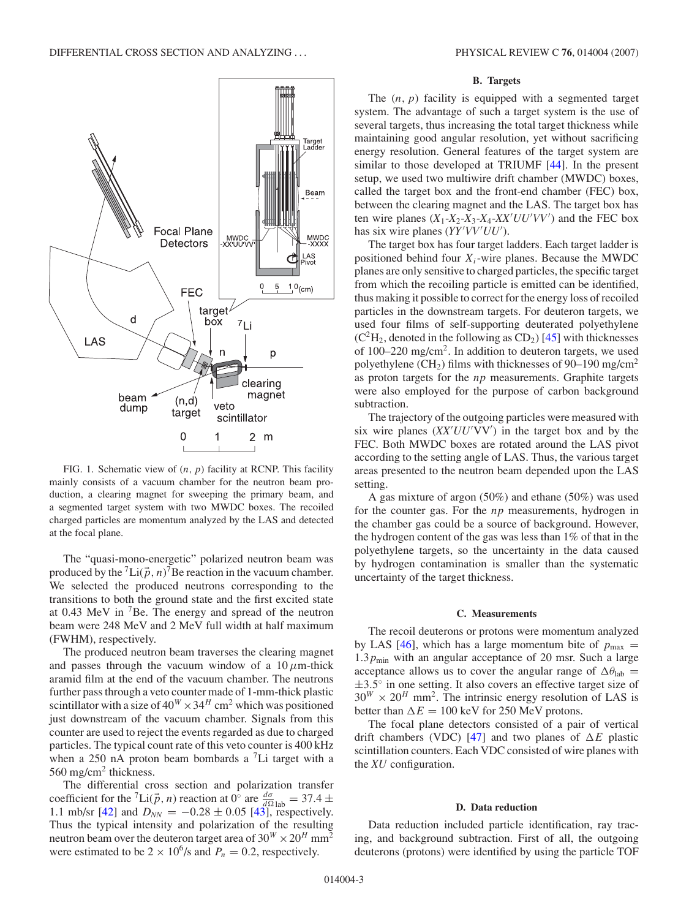<span id="page-2-0"></span>

FIG. 1. Schematic view of (*n, p*) facility at RCNP. This facility mainly consists of a vacuum chamber for the neutron beam production, a clearing magnet for sweeping the primary beam, and a segmented target system with two MWDC boxes. The recoiled charged particles are momentum analyzed by the LAS and detected at the focal plane.

The "quasi-mono-energetic" polarized neutron beam was produced by the <sup>7</sup>Li( $\vec{p}$ , *n*)<sup>7</sup>Be reaction in the vacuum chamber. We selected the produced neutrons corresponding to the transitions to both the ground state and the first excited state at  $0.43$  MeV in  ${}^{7}$ Be. The energy and spread of the neutron beam were 248 MeV and 2 MeV full width at half maximum (FWHM), respectively.

The produced neutron beam traverses the clearing magnet and passes through the vacuum window of a  $10 \mu$ m-thick aramid film at the end of the vacuum chamber. The neutrons further pass through a veto counter made of 1-mm-thick plastic scintillator with a size of  $40^W \times 34^H$  cm<sup>2</sup> which was positioned just downstream of the vacuum chamber. Signals from this counter are used to reject the events regarded as due to charged particles. The typical count rate of this veto counter is 400 kHz when a 250 nA proton beam bombards a  ${}^{7}$ Li target with a 560 mg/cm<sup>2</sup> thickness.

The differential cross section and polarization transfer coefficient for the <sup>7</sup>Li( $\vec{p}$ , *n*) reaction at 0° are  $\frac{d\sigma}{d\Omega}$ <sub>lab</sub> = 37.4 ± 1.1 mb/sr [\[42\]](#page-11-0) and  $D_{NN} = -0.28 \pm 0.05$  [\[43\]](#page-11-0), respectively. Thus the typical intensity and polarization of the resulting neutron beam over the deuteron target area of  $30^{W} \times 20^{H}$  mm<sup>2</sup> were estimated to be  $2 \times 10^6$ /s and  $P_n = 0.2$ , respectively.

### **B. Targets**

The  $(n, p)$  facility is equipped with a segmented target system. The advantage of such a target system is the use of several targets, thus increasing the total target thickness while maintaining good angular resolution, yet without sacrificing energy resolution. General features of the target system are similar to those developed at TRIUMF [\[44\]](#page-11-0). In the present setup, we used two multiwire drift chamber (MWDC) boxes, called the target box and the front-end chamber (FEC) box, between the clearing magnet and the LAS. The target box has ten wire planes  $(X_1-X_2-X_3-X_4-XX'UU'VV'$  and the FEC box has six wire planes (*YY'VV'UU'*).

The target box has four target ladders. Each target ladder is positioned behind four  $X_i$ -wire planes. Because the MWDC planes are only sensitive to charged particles, the specific target from which the recoiling particle is emitted can be identified, thus making it possible to correct for the energy loss of recoiled particles in the downstream targets. For deuteron targets, we used four films of self-supporting deuterated polyethylene  $(C<sup>2</sup>H<sub>2</sub>$ , denoted in the following as CD<sub>2</sub>) [\[45\]](#page-11-0) with thicknesses of 100–220 mg/cm2. In addition to deuteron targets, we used polyethylene (CH<sub>2</sub>) films with thicknesses of 90–190 mg/cm<sup>2</sup> as proton targets for the *np* measurements. Graphite targets were also employed for the purpose of carbon background subtraction.

The trajectory of the outgoing particles were measured with six wire planes  $(XX'UU'VV')$  in the target box and by the FEC. Both MWDC boxes are rotated around the LAS pivot according to the setting angle of LAS. Thus, the various target areas presented to the neutron beam depended upon the LAS setting.

A gas mixture of argon (50%) and ethane (50%) was used for the counter gas. For the *np* measurements, hydrogen in the chamber gas could be a source of background. However, the hydrogen content of the gas was less than 1% of that in the polyethylene targets, so the uncertainty in the data caused by hydrogen contamination is smaller than the systematic uncertainty of the target thickness.

#### **C. Measurements**

The recoil deuterons or protons were momentum analyzed by LAS [\[46\]](#page-11-0), which has a large momentum bite of  $p_{\text{max}} =$ 1.3 $p_{\text{min}}$  with an angular acceptance of 20 msr. Such a large acceptance allows us to cover the angular range of  $\Delta\theta_{\rm lab}$  = ±3*.*5◦ in one setting. It also covers an effective target size of  $30^{W} \times 20^{H}$  mm<sup>2</sup>. The intrinsic energy resolution of LAS is better than  $\Delta E = 100 \text{ keV}$  for 250 MeV protons.

The focal plane detectors consisted of a pair of vertical drift chambers (VDC) [\[47\]](#page-11-0) and two planes of  $\Delta E$  plastic scintillation counters. Each VDC consisted of wire planes with the *XU* configuration.

#### **D. Data reduction**

Data reduction included particle identification, ray tracing, and background subtraction. First of all, the outgoing deuterons (protons) were identified by using the particle TOF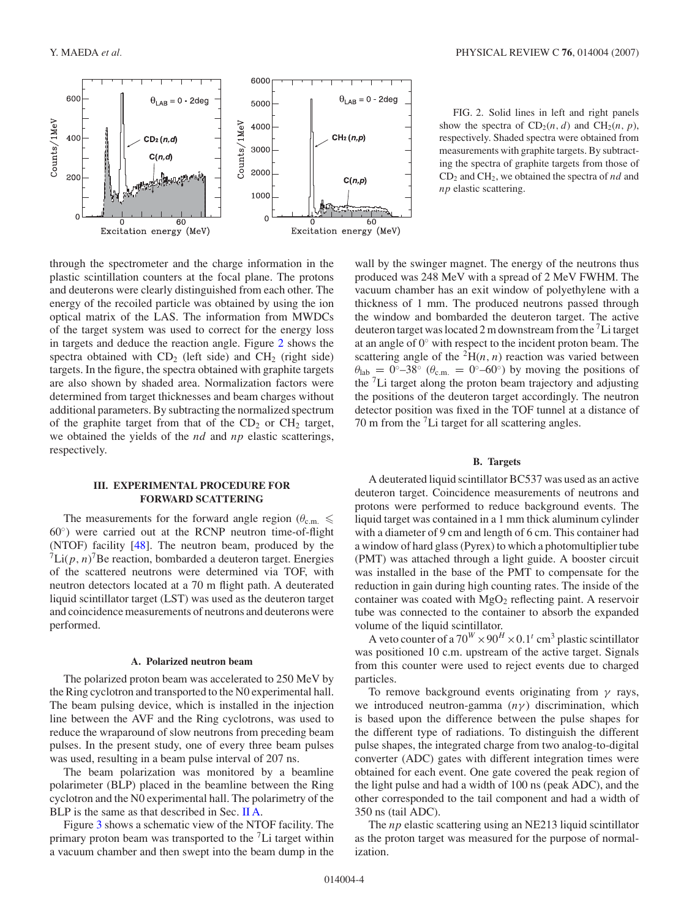<span id="page-3-0"></span>

through the spectrometer and the charge information in the plastic scintillation counters at the focal plane. The protons and deuterons were clearly distinguished from each other. The energy of the recoiled particle was obtained by using the ion optical matrix of the LAS. The information from MWDCs of the target system was used to correct for the energy loss in targets and deduce the reaction angle. Figure 2 shows the spectra obtained with  $CD_2$  (left side) and  $CH_2$  (right side) targets. In the figure, the spectra obtained with graphite targets are also shown by shaded area. Normalization factors were determined from target thicknesses and beam charges without additional parameters. By subtracting the normalized spectrum of the graphite target from that of the  $CD<sub>2</sub>$  or  $CH<sub>2</sub>$  target, we obtained the yields of the *nd* and *np* elastic scatterings, respectively.

# **III. EXPERIMENTAL PROCEDURE FOR FORWARD SCATTERING**

The measurements for the forward angle region ( $\theta_{\text{c.m.}} \leq$ 60◦) were carried out at the RCNP neutron time-of-flight (NTOF) facility [\[48\]](#page-11-0). The neutron beam, produced by the  ${}^{7}$ Li $(p, n)$ <sup>7</sup>Be reaction, bombarded a deuteron target. Energies of the scattered neutrons were determined via TOF, with neutron detectors located at a 70 m flight path. A deuterated liquid scintillator target (LST) was used as the deuteron target and coincidence measurements of neutrons and deuterons were performed.

#### **A. Polarized neutron beam**

The polarized proton beam was accelerated to 250 MeV by the Ring cyclotron and transported to the N0 experimental hall. The beam pulsing device, which is installed in the injection line between the AVF and the Ring cyclotrons, was used to reduce the wraparound of slow neutrons from preceding beam pulses. In the present study, one of every three beam pulses was used, resulting in a beam pulse interval of 207 ns.

The beam polarization was monitored by a beamline polarimeter (BLP) placed in the beamline between the Ring cyclotron and the N0 experimental hall. The polarimetry of the BLP is the same as that described in Sec. [II A.](#page-1-0)

Figure [3](#page-4-0) shows a schematic view of the NTOF facility. The primary proton beam was transported to the  ${}^{7}$ Li target within a vacuum chamber and then swept into the beam dump in the

FIG. 2. Solid lines in left and right panels show the spectra of  $CD_2(n, d)$  and  $CH_2(n, p)$ , respectively. Shaded spectra were obtained from measurements with graphite targets. By subtracting the spectra of graphite targets from those of CD2 and CH2, we obtained the spectra of *nd* and *np* elastic scattering.

wall by the swinger magnet. The energy of the neutrons thus produced was 248 MeV with a spread of 2 MeV FWHM. The vacuum chamber has an exit window of polyethylene with a thickness of 1 mm. The produced neutrons passed through the window and bombarded the deuteron target. The active deuteron target was located 2 m downstream from the  $\rm ^7Li$  target at an angle of 0◦ with respect to the incident proton beam. The scattering angle of the  ${}^{2}H(n, n)$  reaction was varied between  $heta_{ab} = 0°-38°$  ( $heta_{c.m.} = 0°-60°$ ) by moving the positions of the 7Li target along the proton beam trajectory and adjusting the positions of the deuteron target accordingly. The neutron detector position was fixed in the TOF tunnel at a distance of 70 m from the  ${}^{7}$ Li target for all scattering angles.

# **B. Targets**

A deuterated liquid scintillator BC537 was used as an active deuteron target. Coincidence measurements of neutrons and protons were performed to reduce background events. The liquid target was contained in a 1 mm thick aluminum cylinder with a diameter of 9 cm and length of 6 cm. This container had a window of hard glass (Pyrex) to which a photomultiplier tube (PMT) was attached through a light guide. A booster circuit was installed in the base of the PMT to compensate for the reduction in gain during high counting rates. The inside of the container was coated with  $MgO<sub>2</sub>$  reflecting paint. A reservoir tube was connected to the container to absorb the expanded volume of the liquid scintillator.

A veto counter of a  $70^W \times 90^H \times 0.1^t$  cm<sup>3</sup> plastic scintillator was positioned 10 c.m. upstream of the active target. Signals from this counter were used to reject events due to charged particles.

To remove background events originating from *γ* rays, we introduced neutron-gamma (*nγ*) discrimination, which is based upon the difference between the pulse shapes for the different type of radiations. To distinguish the different pulse shapes, the integrated charge from two analog-to-digital converter (ADC) gates with different integration times were obtained for each event. One gate covered the peak region of the light pulse and had a width of 100 ns (peak ADC), and the other corresponded to the tail component and had a width of 350 ns (tail ADC).

The *np* elastic scattering using an NE213 liquid scintillator as the proton target was measured for the purpose of normalization.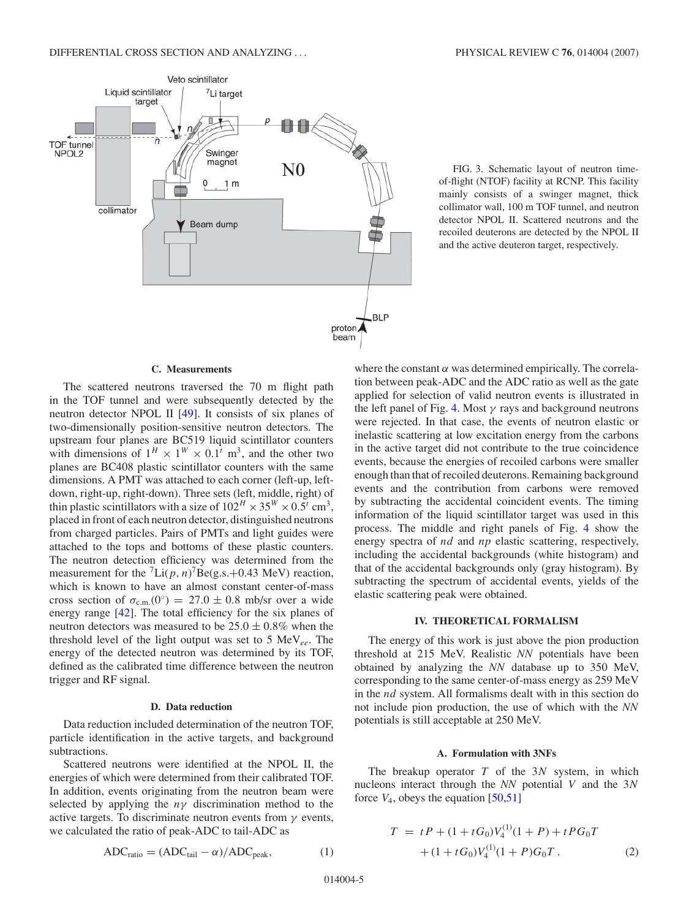<span id="page-4-0"></span>

FIG. 3. Schematic layout of neutron timeof-flight (NTOF) facility at RCNP. This facility mainly consists of a swinger magnet, thick collimator wall, 100 m TOF tunnel, and neutron detector NPOL II. Scattered neutrons and the recoiled deuterons are detected by the NPOL II and the active deuteron target, respectively.

#### **C. Measurements**

The scattered neutrons traversed the 70 m flight path in the TOF tunnel and were subsequently detected by the neutron detector NPOL II [\[49\]](#page-11-0). It consists of six planes of two-dimensionally position-sensitive neutron detectors. The upstream four planes are BC519 liquid scintillator counters with dimensions of  $1^H \times 1^W \times 0.1^t$  m<sup>3</sup>, and the other two planes are BC408 plastic scintillator counters with the same dimensions. A PMT was attached to each corner (left-up, leftdown, right-up, right-down). Three sets (left, middle, right) of thin plastic scintillators with a size of  $102^H \times 35^W \times 0.5^t$  cm<sup>3</sup>, placed in front of each neutron detector, distinguished neutrons from charged particles. Pairs of PMTs and light guides were attached to the tops and bottoms of these plastic counters. The neutron detection efficiency was determined from the measurement for the  ${}^{7}$ Li( $p, n$ )<sup>7</sup>Be(g.s.+0.43 MeV) reaction, which is known to have an almost constant center-of-mass cross section of  $\sigma_{c.m.}(0^\circ) = 27.0 \pm 0.8$  mb/sr over a wide energy range [\[42\]](#page-11-0). The total efficiency for the six planes of neutron detectors was measured to be  $25.0 \pm 0.8\%$  when the threshold level of the light output was set to 5 MeV*ee*. The energy of the detected neutron was determined by its TOF, defined as the calibrated time difference between the neutron trigger and RF signal.

#### **D. Data reduction**

Data reduction included determination of the neutron TOF, particle identification in the active targets, and background subtractions.

Scattered neutrons were identified at the NPOL II, the energies of which were determined from their calibrated TOF. In addition, events originating from the neutron beam were selected by applying the *nγ* discrimination method to the active targets. To discriminate neutron events from *γ* events, we calculated the ratio of peak-ADC to tail-ADC as

$$
ADC_{ratio} = (ADC_{tail} - \alpha) / ADC_{peak},
$$
 (1)

where the constant *α* was determined empirically. The correlation between peak-ADC and the ADC ratio as well as the gate applied for selection of valid neutron events is illustrated in the left panel of Fig. [4.](#page-5-0) Most *γ* rays and background neutrons were rejected. In that case, the events of neutron elastic or inelastic scattering at low excitation energy from the carbons in the active target did not contribute to the true coincidence events, because the energies of recoiled carbons were smaller enough than that of recoiled deuterons. Remaining background events and the contribution from carbons were removed by subtracting the accidental coincident events. The timing information of the liquid scintillator target was used in this process. The middle and right panels of Fig. [4](#page-5-0) show the energy spectra of *nd* and *np* elastic scattering, respectively, including the accidental backgrounds (white histogram) and that of the accidental backgrounds only (gray histogram). By subtracting the spectrum of accidental events, yields of the elastic scattering peak were obtained.

#### **IV. THEORETICAL FORMALISM**

The energy of this work is just above the pion production threshold at 215 MeV. Realistic *NN* potentials have been obtained by analyzing the *NN* database up to 350 MeV, corresponding to the same center-of-mass energy as 259 MeV in the *nd* system. All formalisms dealt with in this section do not include pion production, the use of which with the *NN* potentials is still acceptable at 250 MeV.

# **A. Formulation with 3NFs**

The breakup operator *T* of the 3*N* system, in which nucleons interact through the *NN* potential *V* and the 3*N* force  $V_4$ , obeys the equation  $[50,51]$ 

$$
T = tP + (1 + tG_0)V_4^{(1)}(1 + P) + tPG_0T
$$
  
+ 
$$
(1 + tG_0)V_4^{(1)}(1 + P)G_0T.
$$
 (2)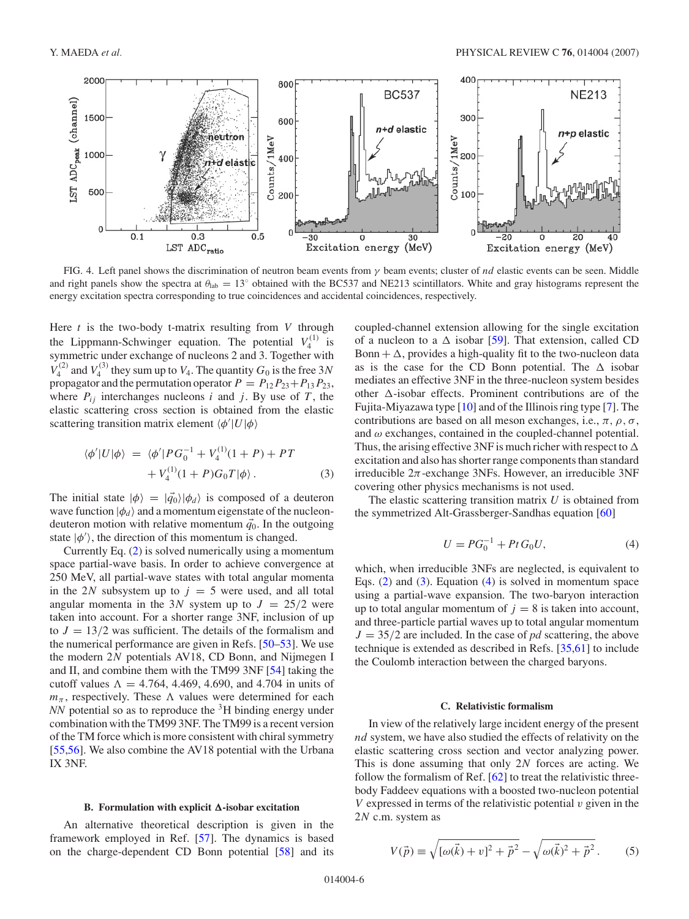<span id="page-5-0"></span>

FIG. 4. Left panel shows the discrimination of neutron beam events from *γ* beam events; cluster of *nd* elastic events can be seen. Middle and right panels show the spectra at  $\theta_{lab} = 13^\circ$  obtained with the BC537 and NE213 scintillators. White and gray histograms represent the energy excitation spectra corresponding to true coincidences and accidental coincidences, respectively.

Here *t* is the two-body t-matrix resulting from *V* through the Lippmann-Schwinger equation. The potential  $V_4^{(1)}$  is symmetric under exchange of nucleons 2 and 3. Together with  $V_4^{(2)}$  and  $V_4^{(3)}$  they sum up to  $V_4$ . The quantity  $G_0$  is the free 3*N* propagator and the permutation operator  $P = P_{12}P_{23} + P_{13}P_{23}$ , where  $P_{ij}$  interchanges nucleons *i* and *j*. By use of *T*, the elastic scattering cross section is obtained from the elastic scattering transition matrix element *φ* |*U*|*φ*

$$
\langle \phi' | U | \phi \rangle = \langle \phi' | P G_0^{-1} + V_4^{(1)} (1 + P) + P T + V_4^{(1)} (1 + P) G_0 T | \phi \rangle.
$$
 (3)

The initial state  $|\phi\rangle = |\vec{q}_0\rangle|\phi_d\rangle$  is composed of a deuteron wave function  $|\phi_d\rangle$  and a momentum eigenstate of the nucleondeuteron motion with relative momentum  $\vec{q}_0$ . In the outgoing state  $|\phi'\rangle$ , the direction of this momentum is changed.

Currently Eq. [\(2\)](#page-4-0) is solved numerically using a momentum space partial-wave basis. In order to achieve convergence at 250 MeV, all partial-wave states with total angular momenta in the 2*N* subsystem up to  $j = 5$  were used, and all total angular momenta in the 3*N* system up to  $J = 25/2$  were taken into account. For a shorter range 3NF, inclusion of up to  $J = 13/2$  was sufficient. The details of the formalism and the numerical performance are given in Refs. [\[50–53\]](#page-11-0). We use the modern 2*N* potentials AV18, CD Bonn, and Nijmegen I and II, and combine them with the TM99 3NF [\[54\]](#page-11-0) taking the cutoff values  $\Lambda = 4.764, 4.469, 4.690,$  and  $4.704$  in units of  $m_{\pi}$ , respectively. These  $\Lambda$  values were determined for each *NN* potential so as to reproduce the <sup>3</sup>H binding energy under combination with the TM99 3NF. The TM99 is a recent version of the TM force which is more consistent with chiral symmetry [\[55,56\]](#page-11-0). We also combine the AV18 potential with the Urbana IX 3NF.

# **B.** Formulation with explicit  $\Delta$ -isobar excitation

An alternative theoretical description is given in the framework employed in Ref. [\[57\]](#page-11-0). The dynamics is based on the charge-dependent CD Bonn potential [\[58\]](#page-11-0) and its

coupled-channel extension allowing for the single excitation of a nucleon to a  $\Delta$  isobar [\[59\]](#page-12-0). That extension, called CD Bonn  $+ \Delta$ , provides a high-quality fit to the two-nucleon data as is the case for the CD Bonn potential. The  $\Delta$  isobar mediates an effective 3NF in the three-nucleon system besides other  $\Delta$ -isobar effects. Prominent contributions are of the Fujita-Miyazawa type [\[10\]](#page-11-0) and of the Illinois ring type [\[7\]](#page-11-0). The contributions are based on all meson exchanges, i.e., *π, ρ, σ*, and *ω* exchanges, contained in the coupled-channel potential. Thus, the arising effective 3NF is much richer with respect to  $\Delta$ excitation and also has shorter range components than standard irreducible  $2\pi$ -exchange 3NFs. However, an irreducible 3NF covering other physics mechanisms is not used.

The elastic scattering transition matrix *U* is obtained from the symmetrized Alt-Grassberger-Sandhas equation [\[60\]](#page-12-0)

$$
U = PG_0^{-1} + Pt \, G_0 U,\tag{4}
$$

which, when irreducible 3NFs are neglected, is equivalent to Eqs. [\(2\)](#page-4-0) and (3). Equation (4) is solved in momentum space using a partial-wave expansion. The two-baryon interaction up to total angular momentum of  $j = 8$  is taken into account, and three-particle partial waves up to total angular momentum  $J = 35/2$  are included. In the case of *pd* scattering, the above technique is extended as described in Refs. [\[35,](#page-11-0)[61\]](#page-12-0) to include the Coulomb interaction between the charged baryons.

# **C. Relativistic formalism**

In view of the relatively large incident energy of the present *nd* system, we have also studied the effects of relativity on the elastic scattering cross section and vector analyzing power. This is done assuming that only 2*N* forces are acting. We follow the formalism of Ref. [\[62\]](#page-12-0) to treat the relativistic threebody Faddeev equations with a boosted two-nucleon potential *V* expressed in terms of the relativistic potential *v* given in the 2*N* c.m. system as

$$
V(\vec{p}) \equiv \sqrt{[\omega(\vec{k}) + v]^2 + \vec{p}^2} - \sqrt{\omega(\vec{k})^2 + \vec{p}^2}.
$$
 (5)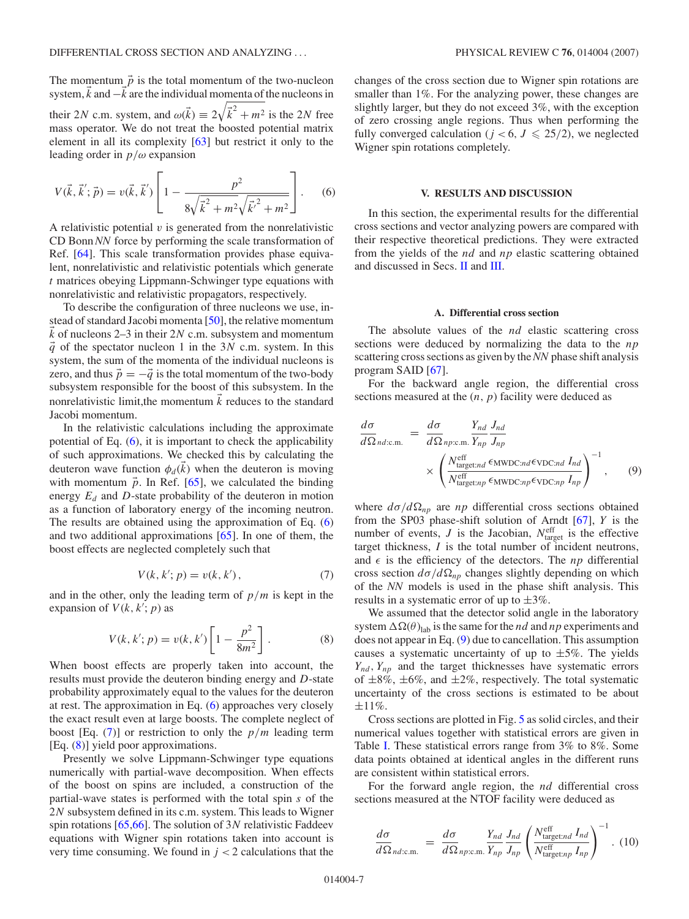<span id="page-6-0"></span>The momentum  $\vec{p}$  is the total momentum of the two-nucleon system,  $\vec{k}$  and  $-\vec{k}$  are the individual momenta of the nucleons in their 2*N* c.m. system, and  $\omega(\vec{k}) \equiv 2\sqrt{\vec{k}^2 + m^2}$  is the 2*N* free mass operator. We do not treat the boosted potential matrix element in all its complexity [\[63\]](#page-12-0) but restrict it only to the leading order in *p/ω* expansion

$$
V(\vec{k}, \vec{k}'; \vec{p}) = v(\vec{k}, \vec{k}') \left[ 1 - \frac{p^2}{8\sqrt{\vec{k}^2 + m^2}\sqrt{\vec{k}^2 + m^2}} \right].
$$
 (6)

A relativistic potential  $v$  is generated from the nonrelativistic CD Bonn *NN* force by performing the scale transformation of Ref. [\[64\]](#page-12-0). This scale transformation provides phase equivalent, nonrelativistic and relativistic potentials which generate *t* matrices obeying Lippmann-Schwinger type equations with nonrelativistic and relativistic propagators, respectively.

To describe the configuration of three nucleons we use, instead of standard Jacobi momenta [\[50\]](#page-11-0), the relative momentum *k*- of nucleons 2–3 in their 2*N* c.m. subsystem and momentum  $\vec{q}$  of the spectator nucleon 1 in the 3*N* c.m. system. In this system, the sum of the momenta of the individual nucleons is zero, and thus  $\vec{p} = -\vec{q}$  is the total momentum of the two-body subsystem responsible for the boost of this subsystem. In the nonrelativistic limit, the momentum  $\vec{k}$  reduces to the standard Jacobi momentum.

In the relativistic calculations including the approximate potential of Eq. (6), it is important to check the applicability of such approximations. We checked this by calculating the deuteron wave function  $\phi_d(k)$  when the deuteron is moving with momentum  $\vec{p}$ . In Ref. [\[65\]](#page-12-0), we calculated the binding energy  $E_d$  and  $D$ -state probability of the deuteron in motion as a function of laboratory energy of the incoming neutron. The results are obtained using the approximation of Eq. (6) and two additional approximations [\[65\]](#page-12-0). In one of them, the boost effects are neglected completely such that

$$
V(k, k'; p) = v(k, k'),
$$
 (7)

and in the other, only the leading term of  $p/m$  is kept in the expansion of  $V(k, k'; p)$  as

$$
V(k, k'; p) = v(k, k') \left[ 1 - \frac{p^2}{8m^2} \right].
$$
 (8)

When boost effects are properly taken into account, the results must provide the deuteron binding energy and *D*-state probability approximately equal to the values for the deuteron at rest. The approximation in Eq. (6) approaches very closely the exact result even at large boosts. The complete neglect of boost [Eq.  $(7)$ ] or restriction to only the  $p/m$  leading term [Eq. (8)] yield poor approximations.

Presently we solve Lippmann-Schwinger type equations numerically with partial-wave decomposition. When effects of the boost on spins are included, a construction of the partial-wave states is performed with the total spin *s* of the 2*N* subsystem defined in its c.m. system. This leads to Wigner spin rotations [\[65,66\]](#page-12-0). The solution of 3*N* relativistic Faddeev equations with Wigner spin rotations taken into account is very time consuming. We found in  $j < 2$  calculations that the

changes of the cross section due to Wigner spin rotations are smaller than 1%. For the analyzing power, these changes are slightly larger, but they do not exceed 3%, with the exception of zero crossing angle regions. Thus when performing the fully converged calculation ( $j < 6$ ,  $J \le 25/2$ ), we neglected Wigner spin rotations completely.

### **V. RESULTS AND DISCUSSION**

In this section, the experimental results for the differential cross sections and vector analyzing powers are compared with their respective theoretical predictions. They were extracted from the yields of the *nd* and *np* elastic scattering obtained and discussed in Secs. [II](#page-1-0) and [III.](#page-3-0)

# **A. Differential cross section**

The absolute values of the *nd* elastic scattering cross sections were deduced by normalizing the data to the *np* scattering cross sections as given by the*NN* phase shift analysis program SAID [\[67\]](#page-12-0).

For the backward angle region, the differential cross sections measured at the (*n, p*) facility were deduced as

$$
\frac{d\sigma}{d\Omega_{nd:c.m.}} = \frac{d\sigma}{d\Omega_{np:c.m.}} \frac{Y_{nd}}{Y_{np}} \frac{J_{nd}}{J_{np}}
$$
\n
$$
\times \left( \frac{N_{\text{target} \cdot nd}^{\text{eff}} \epsilon_{\text{MWDC} \cdot nd} \epsilon_{\text{VDC} \cdot nd} I_{nd}}{N_{\text{target} \cdot np}^{\text{eff}} \epsilon_{\text{MWDC} \cdot np} \epsilon_{\text{VDC} \cdot np} I_{np}} \right)^{-1}, \qquad (9)
$$

where  $d\sigma/d\Omega_{np}$  are *np* differential cross sections obtained from the SP03 phase-shift solution of Arndt [\[67\]](#page-12-0), *Y* is the number of events,  $J$  is the Jacobian,  $N_{\text{target}}^{\text{eff}}$  is the effective target thickness, *I* is the total number of incident neutrons, and  $\epsilon$  is the efficiency of the detectors. The *np* differential cross section  $d\sigma/d\Omega_{np}$  changes slightly depending on which of the *NN* models is used in the phase shift analysis. This results in a systematic error of up to  $\pm 3\%$ .

We assumed that the detector solid angle in the laboratory system  $\Delta\Omega(\theta)_{\text{lab}}$  is the same for the *nd* and *np* experiments and does not appear in Eq. (9) due to cancellation. This assumption causes a systematic uncertainty of up to  $\pm 5\%$ . The yields  $Y_{nd}$ ,  $Y_{np}$  and the target thicknesses have systematic errors of  $\pm 8\%$ ,  $\pm 6\%$ , and  $\pm 2\%$ , respectively. The total systematic uncertainty of the cross sections is estimated to be about  $±11%$ .

Cross sections are plotted in Fig. [5](#page-7-0) as solid circles, and their numerical values together with statistical errors are given in Table [I.](#page-7-0) These statistical errors range from 3% to 8%. Some data points obtained at identical angles in the different runs are consistent within statistical errors.

For the forward angle region, the *nd* differential cross sections measured at the NTOF facility were deduced as

$$
\frac{d\sigma}{d\Omega_{nd:c.m.}} = \frac{d\sigma}{d\Omega_{np:c.m.}} \frac{Y_{nd}}{Y_{np}} \frac{J_{nd}}{J_{np}} \left( \frac{N_{\text{target}:nd}^{\text{eff}} I_{nd}}{N_{\text{target}:np}^{\text{eff}} I_{np}} \right)^{-1} . (10)
$$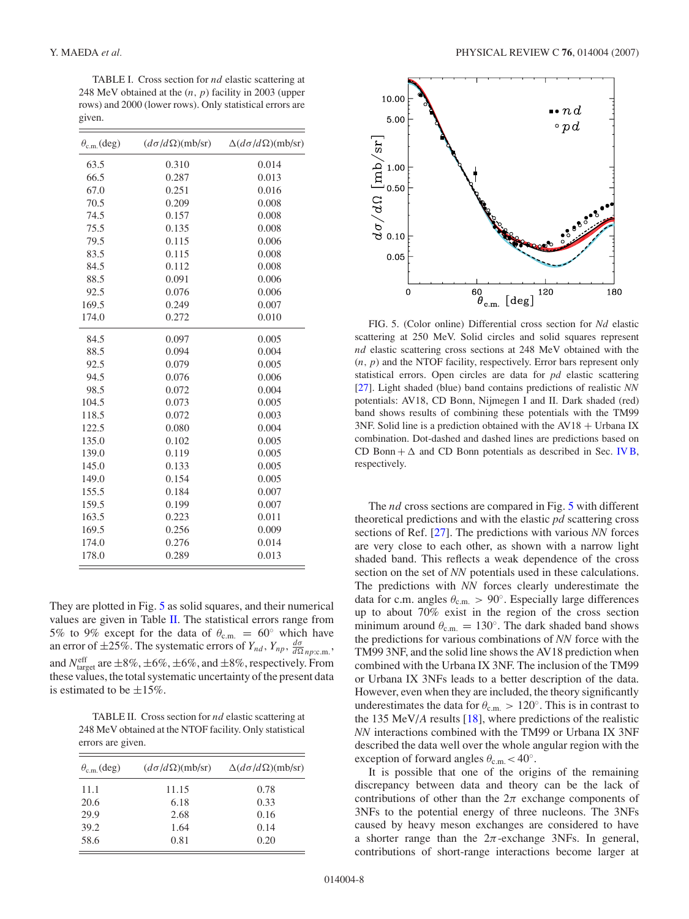<span id="page-7-0"></span>TABLE I. Cross section for *nd* elastic scattering at 248 MeV obtained at the (*n, p*) facility in 2003 (upper rows) and 2000 (lower rows). Only statistical errors are given.

| $\theta_{\rm c.m.}$ (deg) | $(d\sigma/d\Omega)(mb/sr)$ | $\Delta(d\sigma/d\Omega)(mb/sr)$ |
|---------------------------|----------------------------|----------------------------------|
| 63.5                      | 0.310                      | 0.014                            |
| 66.5                      | 0.287                      | 0.013                            |
| 67.0                      | 0.251                      | 0.016                            |
| 70.5                      | 0.209                      | 0.008                            |
| 74.5                      | 0.157                      | 0.008                            |
| 75.5                      | 0.135                      | 0.008                            |
| 79.5                      | 0.115                      | 0.006                            |
| 83.5                      | 0.115                      | 0.008                            |
| 84.5                      | 0.112                      | 0.008                            |
| 88.5                      | 0.091                      | 0.006                            |
| 92.5                      | 0.076                      | 0.006                            |
| 169.5                     | 0.249                      | 0.007                            |
| 174.0                     | 0.272                      | 0.010                            |
| 84.5                      | 0.097                      | 0.005                            |
| 88.5                      | 0.094                      | 0.004                            |
| 92.5                      | 0.079                      | 0.005                            |
| 94.5                      | 0.076                      | 0.006                            |
| 98.5                      | 0.072                      | 0.004                            |
| 104.5                     | 0.073                      | 0.005                            |
| 118.5                     | 0.072                      | 0.003                            |
| 122.5                     | 0.080                      | 0.004                            |
| 135.0                     | 0.102                      | 0.005                            |
| 139.0                     | 0.119                      | 0.005                            |
| 145.0                     | 0.133                      | 0.005                            |
| 149.0                     | 0.154                      | 0.005                            |
| 155.5                     | 0.184                      | 0.007                            |
| 159.5                     | 0.199                      | 0.007                            |
| 163.5                     | 0.223                      | 0.011                            |
| 169.5                     | 0.256                      | 0.009                            |
| 174.0                     | 0.276                      | 0.014                            |
| 178.0                     | 0.289                      | 0.013                            |

They are plotted in Fig. 5 as solid squares, and their numerical values are given in Table  $II$ . The statistical errors range from 5% to 9% except for the data of  $\theta_{c.m.} = 60^\circ$  which have an error of  $\pm 25\%$ . The systematic errors of  $Y_{nd}$ ,  $Y_{np}$ ,  $\frac{d\sigma}{d\Omega np:\text{cm}}$ . and  $N_{\text{target}}^{\text{eff}}$  are  $\pm 8\%, \pm 6\%, \pm 6\%, \text{and } \pm 8\%$ , respectively. From these values, the total systematic uncertainty of the present data is estimated to be  $\pm 15\%$ .

TABLE II. Cross section for *nd* elastic scattering at 248 MeV obtained at the NTOF facility. Only statistical errors are given.

| $\theta_{\rm c.m.}$ (deg) | $(d\sigma/d\Omega)(mb/sr)$ | $\Delta(d\sigma/d\Omega)(mb/sr)$ |
|---------------------------|----------------------------|----------------------------------|
| 11.1                      | 11.15                      | 0.78                             |
| 20.6                      | 6.18                       | 0.33                             |
| 29.9                      | 2.68                       | 0.16                             |
| 39.2                      | 1.64                       | 0.14                             |
| 58.6                      | 0.81                       | 0.20                             |



FIG. 5. (Color online) Differential cross section for *Nd* elastic scattering at 250 MeV. Solid circles and solid squares represent *nd* elastic scattering cross sections at 248 MeV obtained with the (*n, p*) and the NTOF facility, respectively. Error bars represent only statistical errors. Open circles are data for *pd* elastic scattering [\[27\]](#page-11-0). Light shaded (blue) band contains predictions of realistic *NN* potentials: AV18, CD Bonn, Nijmegen I and II. Dark shaded (red) band shows results of combining these potentials with the TM99 3NF. Solid line is a prediction obtained with the  $AV18 + Urbana IX$ combination. Dot-dashed and dashed lines are predictions based on CD Bonn +  $\Delta$  and CD Bonn potentials as described in Sec. [IV B,](#page-5-0) respectively.

The *nd* cross sections are compared in Fig. 5 with different theoretical predictions and with the elastic *pd* scattering cross sections of Ref. [\[27\]](#page-11-0). The predictions with various *NN* forces are very close to each other, as shown with a narrow light shaded band. This reflects a weak dependence of the cross section on the set of *NN* potentials used in these calculations. The predictions with *NN* forces clearly underestimate the data for c.m. angles *θ*c*.*m*. >* 90◦. Especially large differences up to about 70% exist in the region of the cross section minimum around  $\theta_{c.m.} = 130^\circ$ . The dark shaded band shows the predictions for various combinations of *NN* force with the TM99 3NF, and the solid line shows the AV18 prediction when combined with the Urbana IX 3NF. The inclusion of the TM99 or Urbana IX 3NFs leads to a better description of the data. However, even when they are included, the theory significantly underestimates the data for  $\theta_{\text{c.m.}} > 120^\circ$ . This is in contrast to the 135 MeV/*A* results [\[18\]](#page-11-0), where predictions of the realistic *NN* interactions combined with the TM99 or Urbana IX 3NF described the data well over the whole angular region with the exception of forward angles  $\theta_{\rm c.m.}$  < 40°.

It is possible that one of the origins of the remaining discrepancy between data and theory can be the lack of contributions of other than the  $2\pi$  exchange components of 3NFs to the potential energy of three nucleons. The 3NFs caused by heavy meson exchanges are considered to have a shorter range than the  $2\pi$ -exchange 3NFs. In general, contributions of short-range interactions become larger at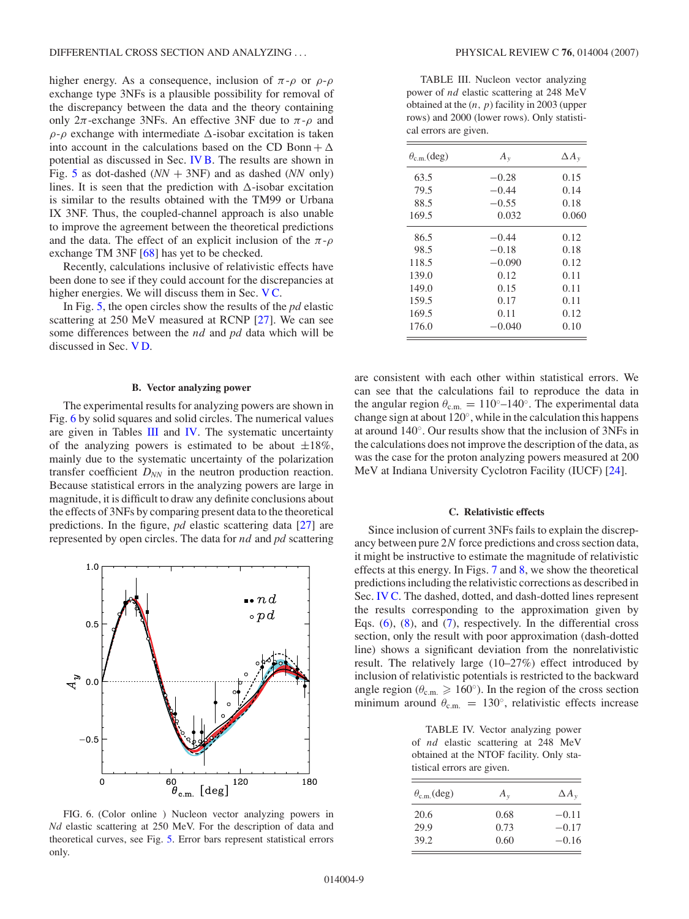higher energy. As a consequence, inclusion of  $\pi$ - $\rho$  or  $\rho$ - $\rho$ exchange type 3NFs is a plausible possibility for removal of the discrepancy between the data and the theory containing only  $2\pi$ -exchange 3NFs. An effective 3NF due to  $\pi$ - $\rho$  and  $\rho$ - $\rho$  exchange with intermediate  $\Delta$ -isobar excitation is taken into account in the calculations based on the CD Bonn +  $\Delta$ potential as discussed in Sec. [IV B.](#page-5-0) The results are shown in Fig. [5](#page-7-0) as dot-dashed  $(NN + 3NF)$  and as dashed  $(NN)$  only) lines. It is seen that the prediction with  $\Delta$ -isobar excitation is similar to the results obtained with the TM99 or Urbana IX 3NF. Thus, the coupled-channel approach is also unable to improve the agreement between the theoretical predictions and the data. The effect of an explicit inclusion of the  $\pi$ - $\rho$ exchange TM 3NF [\[68\]](#page-12-0) has yet to be checked.

Recently, calculations inclusive of relativistic effects have been done to see if they could account for the discrepancies at higher energies. We will discuss them in Sec. VC.

In Fig. [5,](#page-7-0) the open circles show the results of the *pd* elastic scattering at 250 MeV measured at RCNP [\[27\]](#page-11-0). We can see some differences between the *nd* and *pd* data which will be discussed in Sec. [V D.](#page-9-0)

### **B. Vector analyzing power**

The experimental results for analyzing powers are shown in Fig. 6 by solid squares and solid circles. The numerical values are given in Tables III and IV. The systematic uncertainty of the analyzing powers is estimated to be about  $\pm 18\%$ , mainly due to the systematic uncertainty of the polarization transfer coefficient *DNN* in the neutron production reaction. Because statistical errors in the analyzing powers are large in magnitude, it is difficult to draw any definite conclusions about the effects of 3NFs by comparing present data to the theoretical predictions. In the figure, *pd* elastic scattering data [\[27\]](#page-11-0) are represented by open circles. The data for *nd* and *pd* scattering



FIG. 6. (Color online ) Nucleon vector analyzing powers in *Nd* elastic scattering at 250 MeV. For the description of data and theoretical curves, see Fig. [5.](#page-7-0) Error bars represent statistical errors only.

TABLE III. Nucleon vector analyzing power of *nd* elastic scattering at 248 MeV obtained at the (*n, p*) facility in 2003 (upper rows) and 2000 (lower rows). Only statistical errors are given.

| $\theta_{\rm c.m.}$ (deg) | $A_{y}$  | $\Delta A_{v}$ |
|---------------------------|----------|----------------|
| 63.5                      | $-0.28$  | 0.15           |
| 79.5                      | $-0.44$  | 0.14           |
| 88.5                      | $-0.55$  | 0.18           |
| 169.5                     | 0.032    | 0.060          |
| 86.5                      | $-0.44$  | 0.12           |
| 98.5                      | $-0.18$  | 0.18           |
| 118.5                     | $-0.090$ | 0.12           |
| 139.0                     | 0.12     | 0.11           |
| 149.0                     | 0.15     | 0.11           |
| 159.5                     | 0.17     | 0.11           |
| 169.5                     | 0.11     | 0.12           |
| 176.0                     | $-0.040$ | 0.10           |

are consistent with each other within statistical errors. We can see that the calculations fail to reproduce the data in the angular region  $\theta_{\rm c.m.} = 110^\circ - 140^\circ$ . The experimental data change sign at about 120◦, while in the calculation this happens at around 140◦. Our results show that the inclusion of 3NFs in the calculations does not improve the description of the data, as was the case for the proton analyzing powers measured at 200 MeV at Indiana University Cyclotron Facility (IUCF) [\[24\]](#page-11-0).

# **C. Relativistic effects**

Since inclusion of current 3NFs fails to explain the discrepancy between pure 2*N* force predictions and cross section data, it might be instructive to estimate the magnitude of relativistic effects at this energy. In Figs. [7](#page-9-0) and [8,](#page-9-0) we show the theoretical predictions including the relativistic corrections as described in Sec. [IV C.](#page-5-0) The dashed, dotted, and dash-dotted lines represent the results corresponding to the approximation given by Eqs. [\(6\)](#page-6-0), [\(8\)](#page-6-0), and [\(7\)](#page-6-0), respectively. In the differential cross section, only the result with poor approximation (dash-dotted line) shows a significant deviation from the nonrelativistic result. The relatively large (10–27%) effect introduced by inclusion of relativistic potentials is restricted to the backward angle region ( $\theta_{\text{c.m.}} \geq 160°$ ). In the region of the cross section minimum around  $\theta_{\rm c.m.} = 130^{\circ}$ , relativistic effects increase

TABLE IV. Vector analyzing power of *nd* elastic scattering at 248 MeV obtained at the NTOF facility. Only statistical errors are given.

| $\theta_{\rm c.m.}$ (deg) | $A_{v}$              | $\Delta A_{v}$                |
|---------------------------|----------------------|-------------------------------|
| 20.6<br>29.9<br>39.2      | 0.68<br>0.73<br>0.60 | $-0.11$<br>$-0.17$<br>$-0.16$ |
|                           |                      |                               |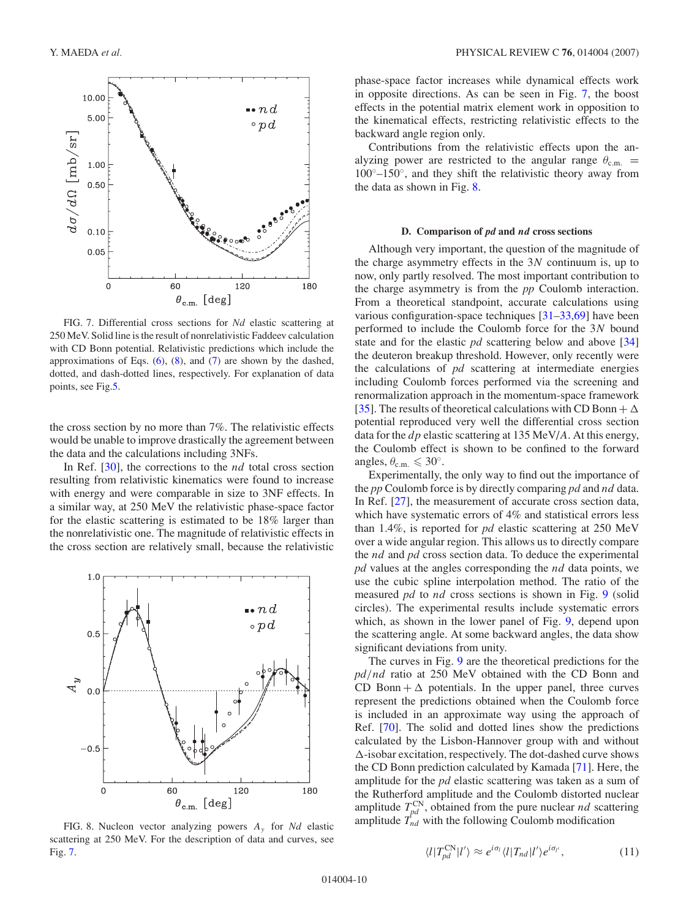<span id="page-9-0"></span>

FIG. 7. Differential cross sections for *Nd* elastic scattering at 250 MeV. Solid line is the result of nonrelativistic Faddeev calculation with CD Bonn potential. Relativistic predictions which include the approximations of Eqs.  $(6)$ ,  $(8)$ , and  $(7)$  are shown by the dashed, dotted, and dash-dotted lines, respectively. For explanation of data points, see Fig[.5.](#page-7-0)

the cross section by no more than 7%. The relativistic effects would be unable to improve drastically the agreement between the data and the calculations including 3NFs.

In Ref. [\[30\]](#page-11-0), the corrections to the *nd* total cross section resulting from relativistic kinematics were found to increase with energy and were comparable in size to 3NF effects. In a similar way, at 250 MeV the relativistic phase-space factor for the elastic scattering is estimated to be 18% larger than the nonrelativistic one. The magnitude of relativistic effects in the cross section are relatively small, because the relativistic



phase-space factor increases while dynamical effects work in opposite directions. As can be seen in Fig. 7, the boost effects in the potential matrix element work in opposition to the kinematical effects, restricting relativistic effects to the backward angle region only.

Contributions from the relativistic effects upon the analyzing power are restricted to the angular range  $\theta_{c.m.}$  =  $100°$ – $150°$ , and they shift the relativistic theory away from the data as shown in Fig. 8.

#### **D. Comparison of** *pd* **and** *nd* **cross sections**

Although very important, the question of the magnitude of the charge asymmetry effects in the 3*N* continuum is, up to now, only partly resolved. The most important contribution to the charge asymmetry is from the *pp* Coulomb interaction. From a theoretical standpoint, accurate calculations using various configuration-space techniques [\[31–33](#page-11-0)[,69\]](#page-12-0) have been performed to include the Coulomb force for the 3*N* bound state and for the elastic *pd* scattering below and above [\[34\]](#page-11-0) the deuteron breakup threshold. However, only recently were the calculations of *pd* scattering at intermediate energies including Coulomb forces performed via the screening and renormalization approach in the momentum-space framework [\[35\]](#page-11-0). The results of theoretical calculations with CD Bonn +  $\Delta$ potential reproduced very well the differential cross section data for the *dp* elastic scattering at 135 MeV/*A*. At this energy, the Coulomb effect is shown to be confined to the forward angles,  $\theta_{\text{c.m.}} \leq 30^{\circ}$ .

Experimentally, the only way to find out the importance of the *pp* Coulomb force is by directly comparing *pd* and *nd* data. In Ref. [\[27\]](#page-11-0), the measurement of accurate cross section data, which have systematic errors of 4% and statistical errors less than 1.4%, is reported for *pd* elastic scattering at 250 MeV over a wide angular region. This allows us to directly compare the *nd* and *pd* cross section data. To deduce the experimental *pd* values at the angles corresponding the *nd* data points, we use the cubic spline interpolation method. The ratio of the measured *pd* to *nd* cross sections is shown in Fig. [9](#page-10-0) (solid circles). The experimental results include systematic errors which, as shown in the lower panel of Fig. [9,](#page-10-0) depend upon the scattering angle. At some backward angles, the data show significant deviations from unity.

The curves in Fig. [9](#page-10-0) are the theoretical predictions for the *pd/nd* ratio at 250 MeV obtained with the CD Bonn and CD Bonn +  $\Delta$  potentials. In the upper panel, three curves represent the predictions obtained when the Coulomb force is included in an approximate way using the approach of Ref. [\[70\]](#page-12-0). The solid and dotted lines show the predictions calculated by the Lisbon-Hannover group with and without  $\Delta$ -isobar excitation, respectively. The dot-dashed curve shows the CD Bonn prediction calculated by Kamada [\[71\]](#page-12-0). Here, the amplitude for the *pd* elastic scattering was taken as a sum of the Rutherford amplitude and the Coulomb distorted nuclear amplitude  $T_{pd}^{\text{CN}}$ , obtained from the pure nuclear *nd* scattering amplitude  $T_{nd}$  with the following Coulomb modification

$$
\langle l|T_{pd}^{\text{CN}}|l'\rangle \approx e^{i\sigma_l}\langle l|T_{nd}|l'\rangle e^{i\sigma_{l'}},\qquad(11)
$$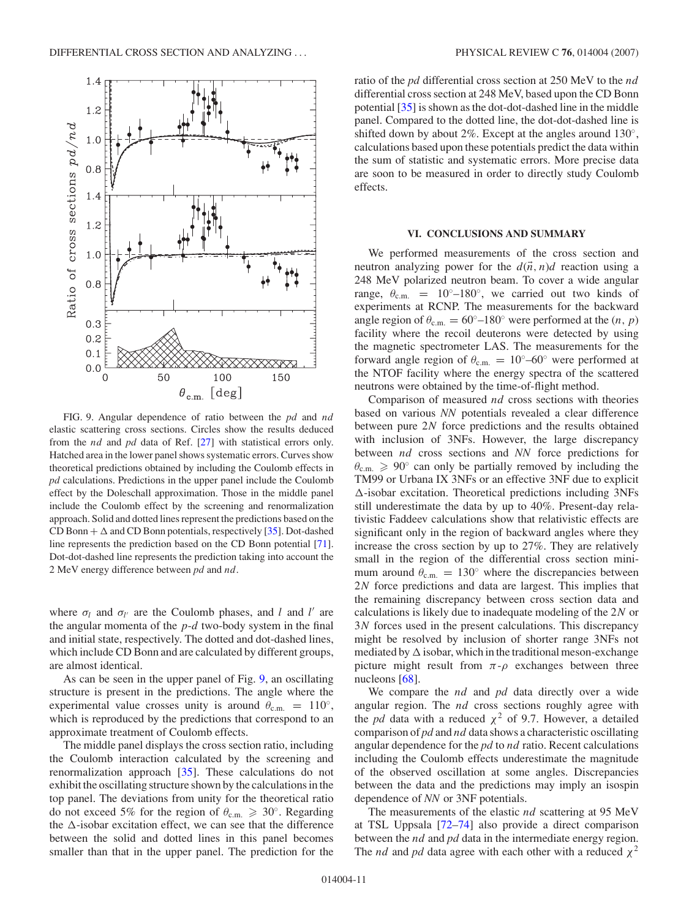<span id="page-10-0"></span>

FIG. 9. Angular dependence of ratio between the *pd* and *nd* elastic scattering cross sections. Circles show the results deduced from the *nd* and *pd* data of Ref. [\[27\]](#page-11-0) with statistical errors only. Hatched area in the lower panel shows systematic errors. Curves show theoretical predictions obtained by including the Coulomb effects in *pd* calculations. Predictions in the upper panel include the Coulomb effect by the Doleschall approximation. Those in the middle panel include the Coulomb effect by the screening and renormalization approach. Solid and dotted lines represent the predictions based on the CD Bonn  $+ \Delta$  and CD Bonn potentials, respectively [\[35\]](#page-11-0). Dot-dashed line represents the prediction based on the CD Bonn potential [\[71\]](#page-12-0). Dot-dot-dashed line represents the prediction taking into account the 2 MeV energy difference between *pd* and *nd*.

where  $\sigma_l$  and  $\sigma_{l'}$  are the Coulomb phases, and *l* and *l'* are the angular momenta of the *p*-*d* two-body system in the final and initial state, respectively. The dotted and dot-dashed lines, which include CD Bonn and are calculated by different groups, are almost identical.

As can be seen in the upper panel of Fig. 9, an oscillating structure is present in the predictions. The angle where the experimental value crosses unity is around  $\theta_{c.m.} = 110°$ , which is reproduced by the predictions that correspond to an approximate treatment of Coulomb effects.

The middle panel displays the cross section ratio, including the Coulomb interaction calculated by the screening and renormalization approach [\[35\]](#page-11-0). These calculations do not exhibit the oscillating structure shown by the calculations in the top panel. The deviations from unity for the theoretical ratio do not exceed 5% for the region of  $\theta_{\text{c.m.}} \ge 30^{\circ}$ . Regarding the  $\Delta$ -isobar excitation effect, we can see that the difference between the solid and dotted lines in this panel becomes smaller than that in the upper panel. The prediction for the

ratio of the *pd* differential cross section at 250 MeV to the *nd* differential cross section at 248 MeV, based upon the CD Bonn potential [\[35\]](#page-11-0) is shown as the dot-dot-dashed line in the middle panel. Compared to the dotted line, the dot-dot-dashed line is shifted down by about 2%. Except at the angles around 130◦, calculations based upon these potentials predict the data within the sum of statistic and systematic errors. More precise data are soon to be measured in order to directly study Coulomb effects.

# **VI. CONCLUSIONS AND SUMMARY**

We performed measurements of the cross section and neutron analyzing power for the  $d(\vec{n}, n)d$  reaction using a 248 MeV polarized neutron beam. To cover a wide angular range,  $\theta_{c.m.}$  = 10<sup>°</sup>–180<sup>°</sup>, we carried out two kinds of experiments at RCNP. The measurements for the backward angle region of  $\theta_{c.m.} = 60^\circ - 180^\circ$  were performed at the  $(n, p)$ facility where the recoil deuterons were detected by using the magnetic spectrometer LAS. The measurements for the forward angle region of  $\theta_{\text{c.m.}} = 10^{\circ} - 60^{\circ}$  were performed at the NTOF facility where the energy spectra of the scattered neutrons were obtained by the time-of-flight method.

Comparison of measured *nd* cross sections with theories based on various *NN* potentials revealed a clear difference between pure 2*N* force predictions and the results obtained with inclusion of 3NFs. However, the large discrepancy between *nd* cross sections and *NN* force predictions for  $\theta_{\rm c.m.} \geq 90^\circ$  can only be partially removed by including the TM99 or Urbana IX 3NFs or an effective 3NF due to explicit  $\Delta$ -isobar excitation. Theoretical predictions including 3NFs still underestimate the data by up to 40%. Present-day relativistic Faddeev calculations show that relativistic effects are significant only in the region of backward angles where they increase the cross section by up to 27%. They are relatively small in the region of the differential cross section minimum around  $\theta_{\text{c.m.}} = 130^\circ$  where the discrepancies between 2*N* force predictions and data are largest. This implies that the remaining discrepancy between cross section data and calculations is likely due to inadequate modeling of the 2*N* or 3*N* forces used in the present calculations. This discrepancy might be resolved by inclusion of shorter range 3NFs not mediated by  $\Delta$  isobar, which in the traditional meson-exchange picture might result from  $\pi$ - $\rho$  exchanges between three nucleons [\[68\]](#page-12-0).

We compare the *nd* and *pd* data directly over a wide angular region. The *nd* cross sections roughly agree with the *pd* data with a reduced  $\chi^2$  of 9.7. However, a detailed comparison of *pd* and *nd* data shows a characteristic oscillating angular dependence for the *pd* to *nd* ratio. Recent calculations including the Coulomb effects underestimate the magnitude of the observed oscillation at some angles. Discrepancies between the data and the predictions may imply an isospin dependence of *NN* or 3NF potentials.

The measurements of the elastic *nd* scattering at 95 MeV at TSL Uppsala [\[72–74\]](#page-12-0) also provide a direct comparison between the *nd* and *pd* data in the intermediate energy region. The *nd* and *pd* data agree with each other with a reduced  $\chi^2$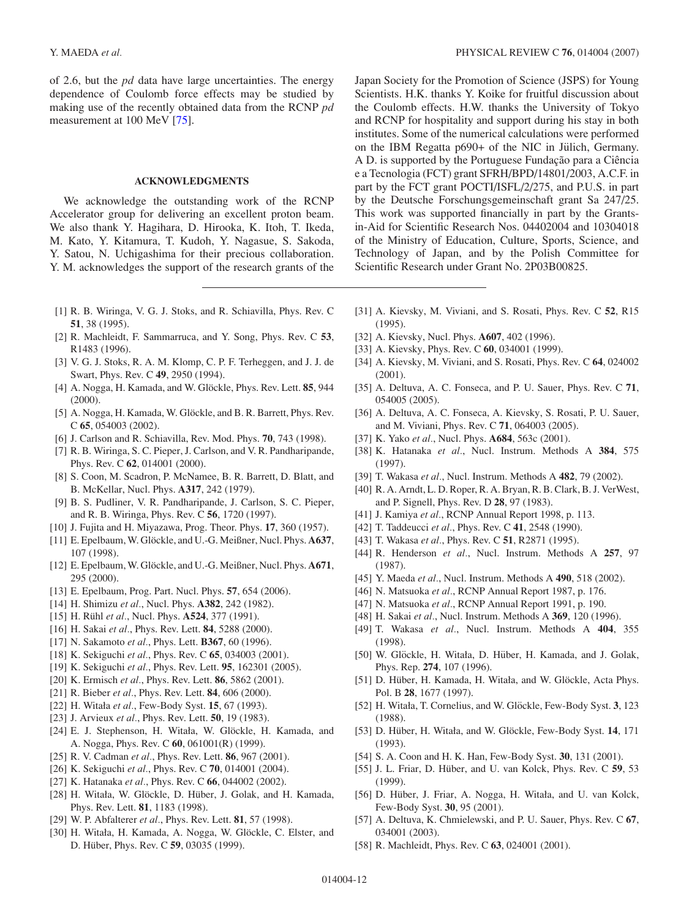<span id="page-11-0"></span>of 2.6, but the *pd* data have large uncertainties. The energy dependence of Coulomb force effects may be studied by making use of the recently obtained data from the RCNP *pd* measurement at 100 MeV [\[75\]](#page-12-0).

# **ACKNOWLEDGMENTS**

We acknowledge the outstanding work of the RCNP Accelerator group for delivering an excellent proton beam. We also thank Y. Hagihara, D. Hirooka, K. Itoh, T. Ikeda, M. Kato, Y. Kitamura, T. Kudoh, Y. Nagasue, S. Sakoda, Y. Satou, N. Uchigashima for their precious collaboration. Y. M. acknowledges the support of the research grants of the

- [1] R. B. Wiringa, V. G. J. Stoks, and R. Schiavilla, Phys. Rev. C **51**, 38 (1995).
- [2] R. Machleidt, F. Sammarruca, and Y. Song, Phys. Rev. C **53**, R1483 (1996).
- [3] V. G. J. Stoks, R. A. M. Klomp, C. P. F. Terheggen, and J. J. de Swart, Phys. Rev. C **49**, 2950 (1994).
- [4] A. Nogga, H. Kamada, and W. Glöckle, Phys. Rev. Lett. **85**, 944 (2000).
- [5] A. Nogga, H. Kamada, W. Glöckle, and B. R. Barrett, Phys. Rev. C **65**, 054003 (2002).
- [6] J. Carlson and R. Schiavilla, Rev. Mod. Phys. **70**, 743 (1998).
- [7] R. B. Wiringa, S. C. Pieper, J. Carlson, and V. R. Pandharipande, Phys. Rev. C **62**, 014001 (2000).
- [8] S. Coon, M. Scadron, P. McNamee, B. R. Barrett, D. Blatt, and B. McKellar, Nucl. Phys. **A317**, 242 (1979).
- [9] B. S. Pudliner, V. R. Pandharipande, J. Carlson, S. C. Pieper, and R. B. Wiringa, Phys. Rev. C **56**, 1720 (1997).
- [10] J. Fujita and H. Miyazawa, Prog. Theor. Phys. **17**, 360 (1957).
- [11] E. Epelbaum, W. Glöckle, and U.-G. Meißner, Nucl. Phys. A637, 107 (1998).
- [12] E. Epelbaum, W. Glöckle, and U.-G. Meißner, Nucl. Phys. A671, 295 (2000).
- [13] E. Epelbaum, Prog. Part. Nucl. Phys. **57**, 654 (2006).
- [14] H. Shimizu *et al.*, Nucl. Phys. **A382**, 242 (1982).
- [15] H. Rühl et al., Nucl. Phys. **A524**, 377 (1991).
- [16] H. Sakai *et al.*, Phys. Rev. Lett. **84**, 5288 (2000).
- [17] N. Sakamoto *et al.*, Phys. Lett. **B367**, 60 (1996).
- [18] K. Sekiguchi *et al.*, Phys. Rev. C **65**, 034003 (2001).
- [19] K. Sekiguchi *et al.*, Phys. Rev. Lett. **95**, 162301 (2005).
- [20] K. Ermisch *et al.*, Phys. Rev. Lett. **86**, 5862 (2001).
- [21] R. Bieber *et al.*, Phys. Rev. Lett. **84**, 606 (2000).
- [22] H. Witała *et al.*, Few-Body Syst. **15**, 67 (1993).
- [23] J. Arvieux *et al.*, Phys. Rev. Lett. **50**, 19 (1983).
- [24] E. J. Stephenson, H. Witała, W. Glöckle, H. Kamada, and A. Nogga, Phys. Rev. C **60**, 061001(R) (1999).
- [25] R. V. Cadman *et al.*, Phys. Rev. Lett. **86**, 967 (2001).
- [26] K. Sekiguchi *et al.*, Phys. Rev. C **70**, 014001 (2004).
- [27] K. Hatanaka *et al.*, Phys. Rev. C **66**, 044002 (2002).
- [28] H. Witała, W. Glöckle, D. Hüber, J. Golak, and H. Kamada, Phys. Rev. Lett. **81**, 1183 (1998).
- [29] W. P. Abfalterer *et al.*, Phys. Rev. Lett. **81**, 57 (1998).
- [30] H. Witała, H. Kamada, A. Nogga, W. Glöckle, C. Elster, and D. Hüber, Phys. Rev. C 59, 03035 (1999).

Japan Society for the Promotion of Science (JSPS) for Young Scientists. H.K. thanks Y. Koike for fruitful discussion about the Coulomb effects. H.W. thanks the University of Tokyo and RCNP for hospitality and support during his stay in both institutes. Some of the numerical calculations were performed on the IBM Regatta p690+ of the NIC in Jülich, Germany. A D. is supported by the Portuguese Fundação para a Ciência e a Tecnologia (FCT) grant SFRH/BPD/14801/2003, A.C.F. in part by the FCT grant POCTI/ISFL/2/275, and P.U.S. in part by the Deutsche Forschungsgemeinschaft grant Sa 247/25. This work was supported financially in part by the Grantsin-Aid for Scientific Research Nos. 04402004 and 10304018 of the Ministry of Education, Culture, Sports, Science, and Technology of Japan, and by the Polish Committee for Scientific Research under Grant No. 2P03B00825.

- [31] A. Kievsky, M. Viviani, and S. Rosati, Phys. Rev. C **52**, R15 (1995).
- [32] A. Kievsky, Nucl. Phys. **A607**, 402 (1996).
- [33] A. Kievsky, Phys. Rev. C **60**, 034001 (1999).
- [34] A. Kievsky, M. Viviani, and S. Rosati, Phys. Rev. C **64**, 024002 (2001).
- [35] A. Deltuva, A. C. Fonseca, and P. U. Sauer, Phys. Rev. C **71**, 054005 (2005).
- [36] A. Deltuva, A. C. Fonseca, A. Kievsky, S. Rosati, P. U. Sauer, and M. Viviani, Phys. Rev. C **71**, 064003 (2005).
- [37] K. Yako *et al.*, Nucl. Phys. **A684**, 563c (2001).
- [38] K. Hatanaka *et al.*, Nucl. Instrum. Methods A **384**, 575 (1997).
- [39] T. Wakasa *et al.*, Nucl. Instrum. Methods A **482**, 79 (2002).
- [40] R. A. Arndt, L. D. Roper, R. A. Bryan, R. B. Clark, B. J. VerWest, and P. Signell, Phys. Rev. D **28**, 97 (1983).
- [41] J. Kamiya *et al.*, RCNP Annual Report 1998, p. 113.
- [42] T. Taddeucci *et al.*, Phys. Rev. C **41**, 2548 (1990).
- [43] T. Wakasa *et al.*, Phys. Rev. C **51**, R2871 (1995).
- [44] R. Henderson *et al.*, Nucl. Instrum. Methods A **257**, 97 (1987).
- [45] Y. Maeda *et al.*, Nucl. Instrum. Methods A **490**, 518 (2002).
- [46] N. Matsuoka *et al.*, RCNP Annual Report 1987, p. 176.
- [47] N. Matsuoka *et al.*, RCNP Annual Report 1991, p. 190.
- [48] H. Sakai *et al.*, Nucl. Instrum. Methods A **369**, 120 (1996).
- [49] T. Wakasa *et al.*, Nucl. Instrum. Methods A **404**, 355 (1998).
- [50] W. Glöckle, H. Witała, D. Hüber, H. Kamada, and J. Golak, Phys. Rep. **274**, 107 (1996).
- [51] D. Hüber, H. Kamada, H. Witała, and W. Glöckle, Acta Phys. Pol. B **28**, 1677 (1997).
- [52] H. Witała, T. Cornelius, and W. Glöckle, Few-Body Syst. 3, 123 (1988).
- [53] D. Hüber, H. Witała, and W. Glöckle, Few-Body Syst. 14, 171 (1993).
- [54] S. A. Coon and H. K. Han, Few-Body Syst. **30**, 131 (2001).
- [55] J. L. Friar, D. Hüber, and U. van Kolck, Phys. Rev. C 59, 53 (1999).
- [56] D. Hüber, J. Friar, A. Nogga, H. Witała, and U. van Kolck, Few-Body Syst. **30**, 95 (2001).
- [57] A. Deltuva, K. Chmielewski, and P. U. Sauer, Phys. Rev. C **67**, 034001 (2003).
- [58] R. Machleidt, Phys. Rev. C **63**, 024001 (2001).